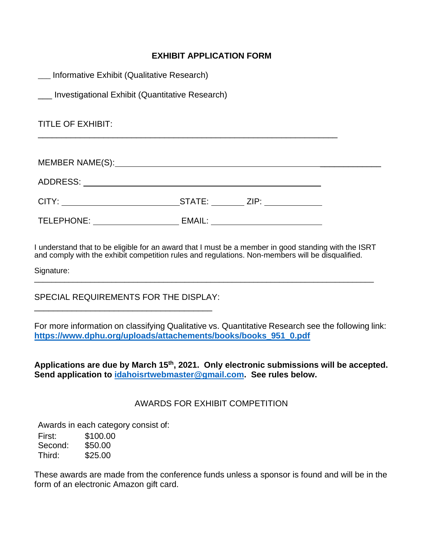#### **EXHIBIT APPLICATION FORM**

| __ Informative Exhibit (Qualitative Research)       |        |  |
|-----------------------------------------------------|--------|--|
| ___ Investigational Exhibit (Quantitative Research) |        |  |
| <b>TITLE OF EXHIBIT:</b>                            |        |  |
|                                                     |        |  |
|                                                     |        |  |
|                                                     |        |  |
| TELEPHONE:                                          | EMAIL: |  |

I understand that to be eligible for an award that I must be a member in good standing with the ISRT and comply with the exhibit competition rules and regulations. Non-members will be disqualified.

Signature:  $\overline{\phantom{a}}$  ,  $\overline{\phantom{a}}$  ,  $\overline{\phantom{a}}$  ,  $\overline{\phantom{a}}$  ,  $\overline{\phantom{a}}$  ,  $\overline{\phantom{a}}$  ,  $\overline{\phantom{a}}$  ,  $\overline{\phantom{a}}$  ,  $\overline{\phantom{a}}$  ,  $\overline{\phantom{a}}$  ,  $\overline{\phantom{a}}$  ,  $\overline{\phantom{a}}$  ,  $\overline{\phantom{a}}$  ,  $\overline{\phantom{a}}$  ,  $\overline{\phantom{a}}$  ,  $\overline{\phantom{a}}$ 

SPECIAL REQUIREMENTS FOR THE DISPLAY: \_\_\_\_\_\_\_\_\_\_\_\_\_\_\_\_\_\_\_\_\_\_\_\_\_\_\_\_\_\_\_\_\_\_\_\_\_\_

For more information on classifying Qualitative vs. Quantitative Research see the following link: **[https://www.dphu.org/uploads/attachements/books/books\\_951\\_0.pdf](https://www.dphu.org/uploads/attachements/books/books_951_0.pdf)**

**Applications are due by March 15 th, 2021. Only electronic submissions will be accepted. Send application to [idahoisrtwebmaster@gmail.com.](mailto:idahoisrtwebmaster@gmail.com?subject=Exhibit%20Application%20Form) See rules below.**

#### AWARDS FOR EXHIBIT COMPETITION

Awards in each category consist of:

| First:  | \$100.00 |
|---------|----------|
| Second: | \$50.00  |
| Third:  | \$25.00  |

These awards are made from the conference funds unless a sponsor is found and will be in the form of an electronic Amazon gift card.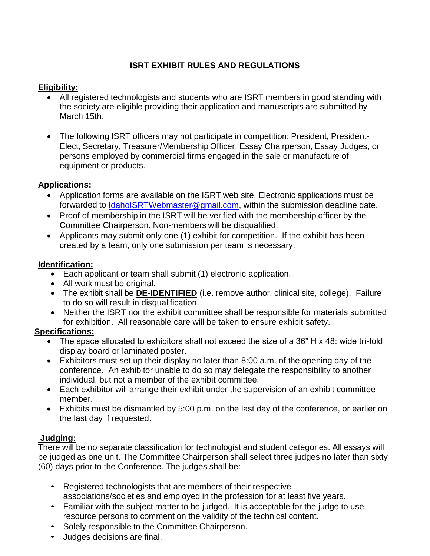# **ISRT EXHIBIT RULES AND REGULATIONS**

#### **Eligibility:**

- All registered technologists and students who are ISRT members in good standing with the society are eligible providing their application and manuscripts are submitted by March 15th.
- The following ISRT officers may not participate in competition: President, President-Elect, Secretary, Treasurer/Membership Officer, Essay Chairperson, Essay Judges, or persons employed by commercial firms engaged in the sale or manufacture of equipment or products.

# **Applications:**

- Application forms are available on the ISRT web site. Electronic applications must be forwarded to [IdahoISRTWebmaster@gmail.com,](mailto:IdahoISRTWebmaster@gmail.com) within the submission deadline date.
- Proof of membership in the ISRT will be verified with the membership officer by the Committee Chairperson. Non-members will be disqualified.
- Applicants may submit only one (1) exhibit for competition. If the exhibit has been created by a team, only one submission per team is necessary.

#### **Identification:**

- Each applicant or team shall submit (1) electronic application.
- All work must be original.
- The exhibit shall be **DE-IDENTIFIED** (i.e. remove author, clinical site, college). Failure to do so will result in disqualification.
- Neither the ISRT nor the exhibit committee shall be responsible for materials submitted for exhibition. All reasonable care will be taken to ensure exhibit safety.

# **Specifications:**

- The space allocated to exhibitors shall not exceed the size of a 36" H x 48: wide tri-fold display board or laminated poster.
- Exhibitors must set up their display no later than 8:00 a.m. of the opening day of the conference. An exhibitor unable to do so may delegate the responsibility to another individual, but not a member of the exhibit committee.
- Each exhibitor will arrange their exhibit under the supervision of an exhibit committee member.
- Exhibits must be dismantled by 5:00 p.m. on the last day of the conference, or earlier on the last day if requested.

# **Judging:**

There will be no separate classification for technologist and student categories. All essays will be judged as one unit. The Committee Chairperson shall select three judges no later than sixty (60) days prior to the Conference. The judges shall be:

- Registered technologists that are members of their respective associations/societies and employed in the profession for at least five years.
- Familiar with the subject matter to be judged. It is acceptable for the judge to use resource persons to comment on the validity of the technical content.
- Solely responsible to the Committee Chairperson.
- Judges decisions are final.